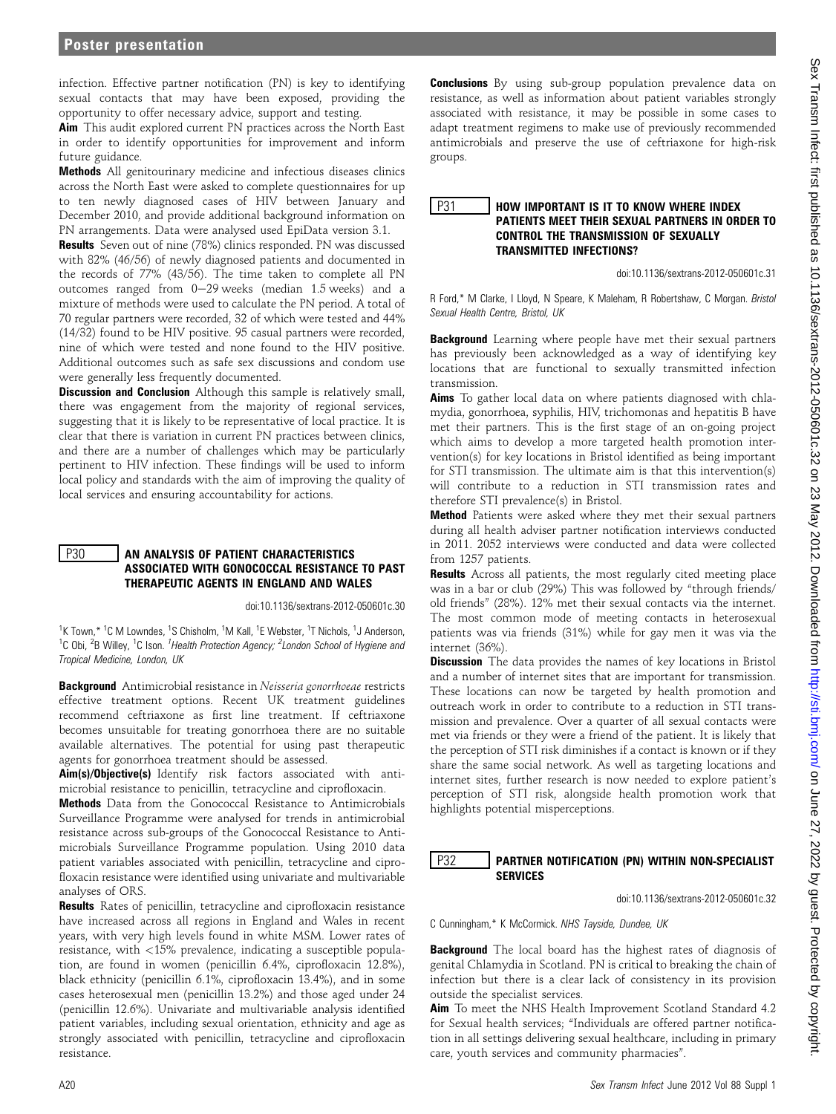infection. Effective partner notification (PN) is key to identifying sexual contacts that may have been exposed, providing the opportunity to offer necessary advice, support and testing.

Aim This audit explored current PN practices across the North East in order to identify opportunities for improvement and inform future guidance.

Methods All genitourinary medicine and infectious diseases clinics across the North East were asked to complete questionnaires for up to ten newly diagnosed cases of HIV between January and December 2010, and provide additional background information on PN arrangements. Data were analysed used EpiData version 3.1.

Results Seven out of nine (78%) clinics responded. PN was discussed with 82% (46/56) of newly diagnosed patients and documented in the records of 77% (43/56). The time taken to complete all PN outcomes ranged from  $0-29$  weeks (median 1.5 weeks) and a mixture of methods were used to calculate the PN period. A total of 70 regular partners were recorded, 32 of which were tested and 44% (14/32) found to be HIV positive. 95 casual partners were recorded, nine of which were tested and none found to the HIV positive. Additional outcomes such as safe sex discussions and condom use were generally less frequently documented.

Discussion and Conclusion Although this sample is relatively small, there was engagement from the majority of regional services, suggesting that it is likely to be representative of local practice. It is clear that there is variation in current PN practices between clinics, and there are a number of challenges which may be particularly pertinent to HIV infection. These findings will be used to inform local policy and standards with the aim of improving the quality of local services and ensuring accountability for actions.

### **P30** AN ANALYSIS OF PATIENT CHARACTERISTICS ASSOCIATED WITH GONOCOCCAL RESISTANCE TO PAST THERAPEUTIC AGENTS IN ENGLAND AND WALES

doi:10.1136/sextrans-2012-050601c.30

<sup>1</sup>K Town,\* <sup>1</sup>C M Lowndes, <sup>1</sup>S Chisholm, <sup>1</sup>M Kall, <sup>1</sup>E Webster, <sup>1</sup>T Nichols, <sup>1</sup>J Anderson, <sup>1</sup>C Obi, <sup>2</sup>B Willey, <sup>1</sup>C Ison. <sup>1</sup> Health Protection Agency; <sup>2</sup> London School of Hygiene and Tropical Medicine, London, UK

Background Antimicrobial resistance in Neisseria gonorrhoeae restricts effective treatment options. Recent UK treatment guidelines recommend ceftriaxone as first line treatment. If ceftriaxone becomes unsuitable for treating gonorrhoea there are no suitable available alternatives. The potential for using past therapeutic agents for gonorrhoea treatment should be assessed.

Aim(s)/Objective(s) Identify risk factors associated with antimicrobial resistance to penicillin, tetracycline and ciprofloxacin.

Methods Data from the Gonococcal Resistance to Antimicrobials Surveillance Programme were analysed for trends in antimicrobial resistance across sub-groups of the Gonococcal Resistance to Antimicrobials Surveillance Programme population. Using 2010 data patient variables associated with penicillin, tetracycline and ciprofloxacin resistance were identified using univariate and multivariable analyses of ORS.

Results Rates of penicillin, tetracycline and ciprofloxacin resistance have increased across all regions in England and Wales in recent years, with very high levels found in white MSM. Lower rates of resistance, with <15% prevalence, indicating a susceptible population, are found in women (penicillin 6.4%, ciprofloxacin 12.8%), black ethnicity (penicillin 6.1%, ciprofloxacin 13.4%), and in some cases heterosexual men (penicillin 13.2%) and those aged under 24 (penicillin 12.6%). Univariate and multivariable analysis identified patient variables, including sexual orientation, ethnicity and age as strongly associated with penicillin, tetracycline and ciprofloxacin resistance.

**Conclusions** By using sub-group population prevalence data on resistance, as well as information about patient variables strongly associated with resistance, it may be possible in some cases to adapt treatment regimens to make use of previously recommended antimicrobials and preserve the use of ceftriaxone for high-risk groups.

#### P31 **HOW IMPORTANT IS IT TO KNOW WHERE INDEX** PATIENTS MEET THEIR SEXUAL PARTNERS IN ORDER TO CONTROL THE TRANSMISSION OF SEXUALLY TRANSMITTED INFECTIONS?

doi:10.1136/sextrans-2012-050601c.31

R Ford,\* M Clarke, I Lloyd, N Speare, K Maleham, R Robertshaw, C Morgan. Bristol Sexual Health Centre, Bristol, UK

Background Learning where people have met their sexual partners has previously been acknowledged as a way of identifying key locations that are functional to sexually transmitted infection transmission.

Aims To gather local data on where patients diagnosed with chlamydia, gonorrhoea, syphilis, HIV, trichomonas and hepatitis B have met their partners. This is the first stage of an on-going project which aims to develop a more targeted health promotion intervention(s) for key locations in Bristol identified as being important for STI transmission. The ultimate aim is that this intervention(s) will contribute to a reduction in STI transmission rates and therefore STI prevalence(s) in Bristol.

Method Patients were asked where they met their sexual partners during all health adviser partner notification interviews conducted in 2011. 2052 interviews were conducted and data were collected from 1257 patients.

Results Across all patients, the most regularly cited meeting place was in a bar or club (29%) This was followed by "through friends/ old friends" (28%). 12% met their sexual contacts via the internet. The most common mode of meeting contacts in heterosexual patients was via friends (31%) while for gay men it was via the internet (36%).

**Discussion** The data provides the names of key locations in Bristol and a number of internet sites that are important for transmission. These locations can now be targeted by health promotion and outreach work in order to contribute to a reduction in STI transmission and prevalence. Over a quarter of all sexual contacts were met via friends or they were a friend of the patient. It is likely that the perception of STI risk diminishes if a contact is known or if they share the same social network. As well as targeting locations and internet sites, further research is now needed to explore patient's perception of STI risk, alongside health promotion work that highlights potential misperceptions.

### P32 | PARTNER NOTIFICATION (PN) WITHIN NON-SPECIALIST **SERVICES**

doi:10.1136/sextrans-2012-050601c.32

C Cunningham,\* K McCormick. NHS Tayside, Dundee, UK

**Background** The local board has the highest rates of diagnosis of genital Chlamydia in Scotland. PN is critical to breaking the chain of infection but there is a clear lack of consistency in its provision outside the specialist services.

Aim To meet the NHS Health Improvement Scotland Standard 4.2 for Sexual health services; "Individuals are offered partner notification in all settings delivering sexual healthcare, including in primary care, youth services and community pharmacies".